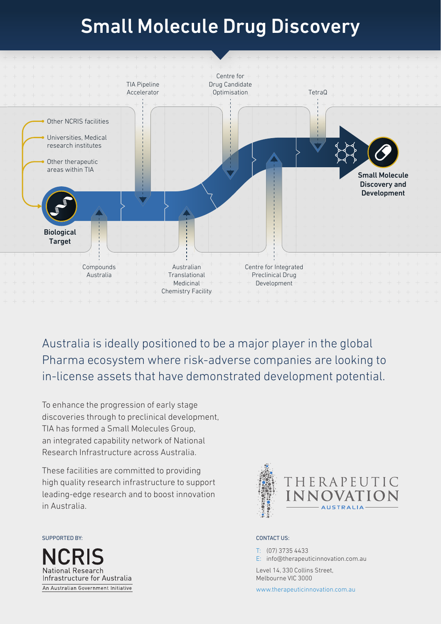# Small Molecule Drug Discovery



Australia is ideally positioned to be a major player in the global Pharma ecosystem where risk-adverse companies are looking to in-license assets that have demonstrated development potential.

To enhance the progression of early stage discoveries through to preclinical development, TIA has formed a Small Molecules Group, an integrated capability network of National Research Infrastructure across Australia.

These facilities are committed to providing high quality research infrastructure to support leading‑edge research and to boost innovation in Australia.

SUPPORTED BY: CONTACT US:





T: (07) 3735 4433 E: info@therapeuticinnovation.com.au

Level 14, 330 Collins Street, Melbourne VIC 3000

www.therapeuticinnovation.com.au